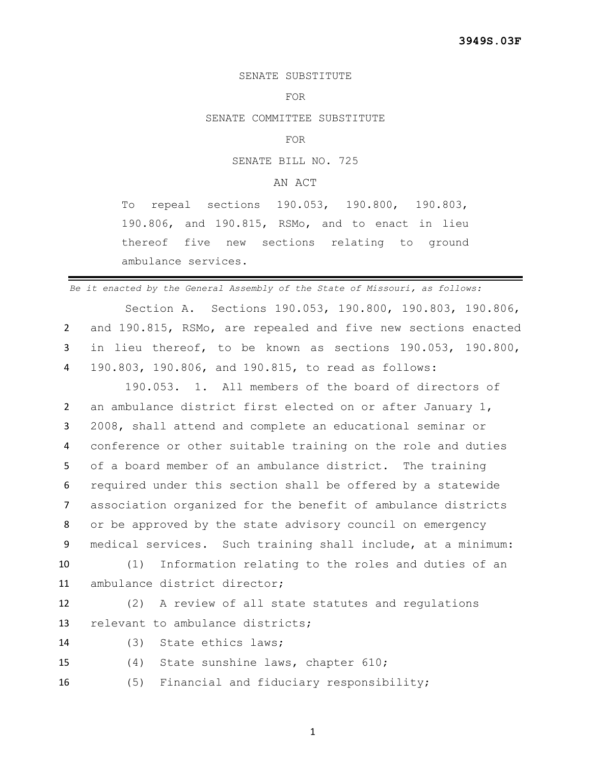## SENATE SUBSTITUTE

## FOR

SENATE COMMITTEE SUBSTITUTE

FOR

SENATE BILL NO. 725

## AN ACT

To repeal sections 190.053, 190.800, 190.803, 190.806, and 190.815, RSMo, and to enact in lieu thereof five new sections relating to ground ambulance services.

*Be it enacted by the General Assembly of the State of Missouri, as follows:*

 Section A. Sections 190.053, 190.800, 190.803, 190.806, and 190.815, RSMo, are repealed and five new sections enacted in lieu thereof, to be known as sections 190.053, 190.800, 190.803, 190.806, and 190.815, to read as follows:

 190.053. 1. All members of the board of directors of an ambulance district first elected on or after January 1, 2008, shall attend and complete an educational seminar or conference or other suitable training on the role and duties of a board member of an ambulance district. The training required under this section shall be offered by a statewide association organized for the benefit of ambulance districts or be approved by the state advisory council on emergency medical services. Such training shall include, at a minimum:

 (1) Information relating to the roles and duties of an ambulance district director;

 (2) A review of all state statutes and regulations relevant to ambulance districts;

(3) State ethics laws;

(4) State sunshine laws, chapter 610;

(5) Financial and fiduciary responsibility;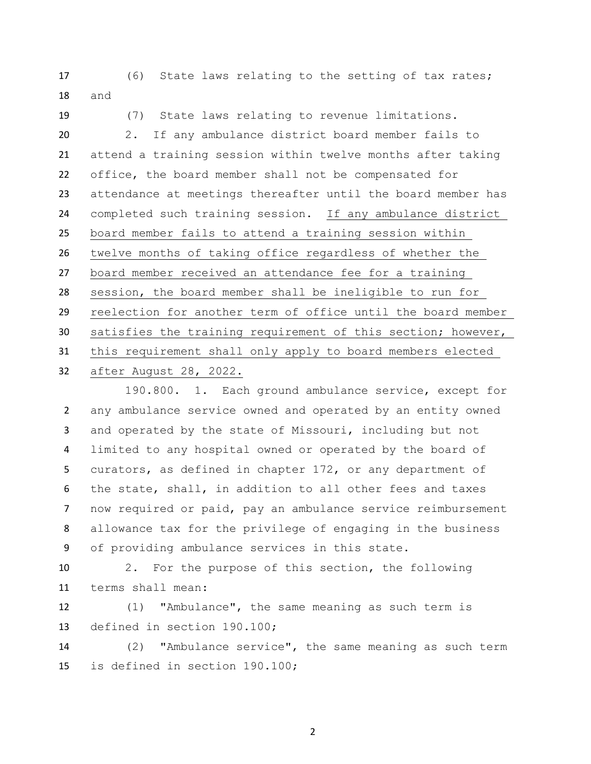(6) State laws relating to the setting of tax rates; and

 (7) State laws relating to revenue limitations. 2. If any ambulance district board member fails to attend a training session within twelve months after taking office, the board member shall not be compensated for attendance at meetings thereafter until the board member has completed such training session. If any ambulance district board member fails to attend a training session within twelve months of taking office regardless of whether the board member received an attendance fee for a training session, the board member shall be ineligible to run for reelection for another term of office until the board member satisfies the training requirement of this section; however, this requirement shall only apply to board members elected after August 28, 2022.

190.800. 1. Each ground ambulance service, except for any ambulance service owned and operated by an entity owned and operated by the state of Missouri, including but not limited to any hospital owned or operated by the board of curators, as defined in chapter 172, or any department of the state, shall, in addition to all other fees and taxes now required or paid, pay an ambulance service reimbursement allowance tax for the privilege of engaging in the business of providing ambulance services in this state.

 2. For the purpose of this section, the following terms shall mean:

 (1) "Ambulance", the same meaning as such term is defined in section 190.100;

 (2) "Ambulance service", the same meaning as such term is defined in section 190.100;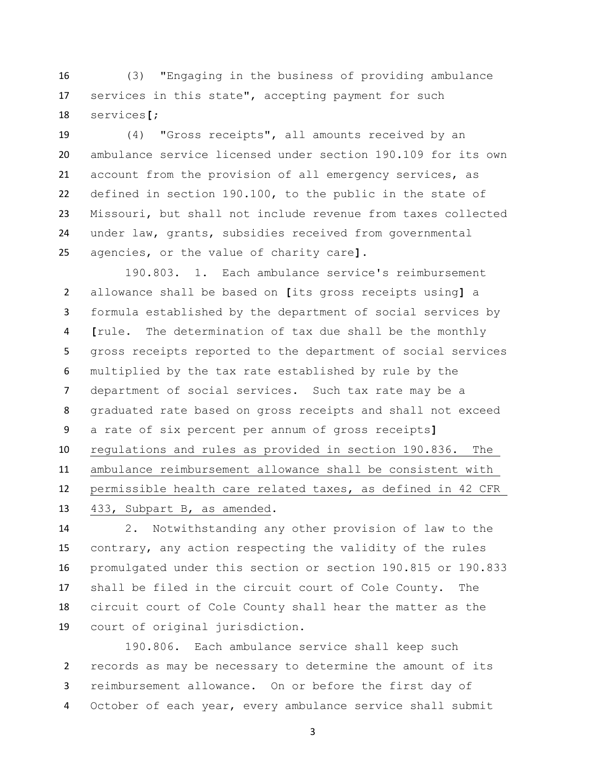(3) "Engaging in the business of providing ambulance services in this state", accepting payment for such services**[**;

 (4) "Gross receipts", all amounts received by an ambulance service licensed under section 190.109 for its own account from the provision of all emergency services, as defined in section 190.100, to the public in the state of Missouri, but shall not include revenue from taxes collected under law, grants, subsidies received from governmental agencies, or the value of charity care**]**.

 190.803. 1. Each ambulance service's reimbursement allowance shall be based on **[**its gross receipts using**]** a formula established by the department of social services by **[**rule. The determination of tax due shall be the monthly gross receipts reported to the department of social services multiplied by the tax rate established by rule by the department of social services. Such tax rate may be a graduated rate based on gross receipts and shall not exceed a rate of six percent per annum of gross receipts**]** regulations and rules as provided in section 190.836. The ambulance reimbursement allowance shall be consistent with permissible health care related taxes, as defined in 42 CFR 433, Subpart B, as amended.

 2. Notwithstanding any other provision of law to the contrary, any action respecting the validity of the rules promulgated under this section or section 190.815 or 190.833 shall be filed in the circuit court of Cole County. The circuit court of Cole County shall hear the matter as the court of original jurisdiction.

 190.806. Each ambulance service shall keep such records as may be necessary to determine the amount of its reimbursement allowance. On or before the first day of October of each year, every ambulance service shall submit